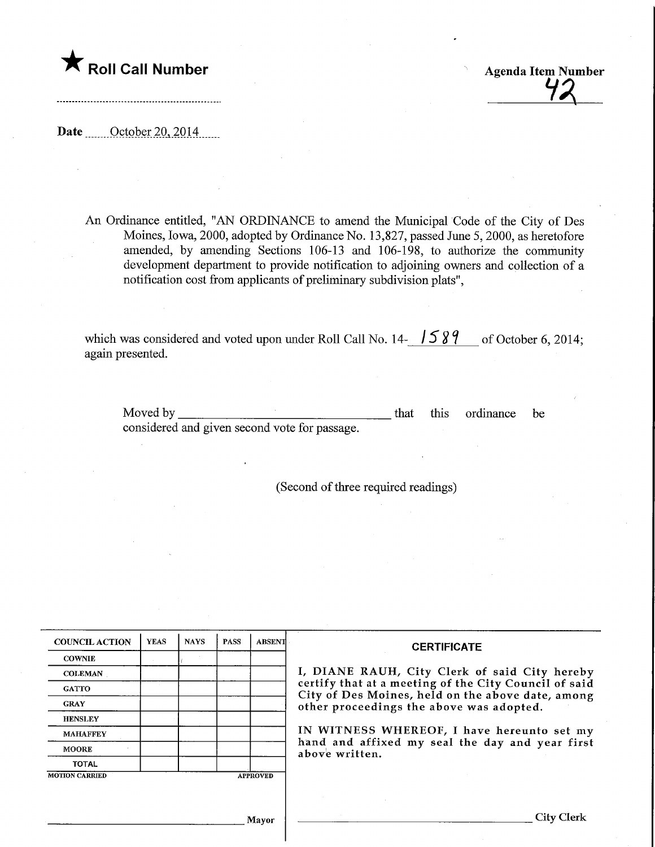

Agenda Item Number

Date <u>October 20, 2014</u>

An Ordinance entitled, "AN ORDINANCE to amend the Municipal Code of the City of Des Moines, Iowa, 2000, adopted by Ordinance No. 13,827, passed June 5,2000, as heretofore amended, by amending Sections 106-13 and 106-198, to authorize the community development department to provide notification to adjoining owners and collection of a notification cost from applicants of preliminary subdivision plats",

which was considered and voted upon under Roll Call No. 14-  $\sqrt{589}$  of October 6, 2014; again presented.

Moved by considered and given second vote for passage. that this ordinance be

(Second of three required readings)

| <b>COUNCIL ACTION</b>                    | <b>YEAS</b> | <b>NAYS</b> | <b>PASS</b> | <b>ABSENT</b> | <b>CERTIFICATE</b><br>I, DIANE RAUH, City Clerk of said City hereby<br>certify that at a meeting of the City Council of said<br>City of Des Moines, held on the above date, among<br>other proceedings the above was adopted. |  |  |  |
|------------------------------------------|-------------|-------------|-------------|---------------|-------------------------------------------------------------------------------------------------------------------------------------------------------------------------------------------------------------------------------|--|--|--|
| <b>COWNIE</b>                            |             |             |             |               |                                                                                                                                                                                                                               |  |  |  |
| <b>COLEMAN</b>                           |             |             |             |               |                                                                                                                                                                                                                               |  |  |  |
| <b>GATTO</b>                             |             |             |             |               |                                                                                                                                                                                                                               |  |  |  |
| <b>GRAY</b>                              |             |             |             |               |                                                                                                                                                                                                                               |  |  |  |
| <b>HENSLEY</b>                           |             |             |             |               |                                                                                                                                                                                                                               |  |  |  |
| <b>MAHAFFEY</b>                          |             |             |             |               | IN WITNESS WHEREOF, I have hereunto set my<br>hand and affixed my seal the day and year first<br>above written.                                                                                                               |  |  |  |
| <b>MOORE</b>                             |             |             |             |               |                                                                                                                                                                                                                               |  |  |  |
| <b>TOTAL</b>                             |             |             |             |               |                                                                                                                                                                                                                               |  |  |  |
| <b>MOTION CARRIED</b><br><b>APPROVED</b> |             |             |             |               |                                                                                                                                                                                                                               |  |  |  |
|                                          |             |             |             |               |                                                                                                                                                                                                                               |  |  |  |
|                                          |             |             |             |               |                                                                                                                                                                                                                               |  |  |  |
|                                          | Mavor       |             |             |               | <b>City Clerk</b>                                                                                                                                                                                                             |  |  |  |
|                                          |             |             |             |               |                                                                                                                                                                                                                               |  |  |  |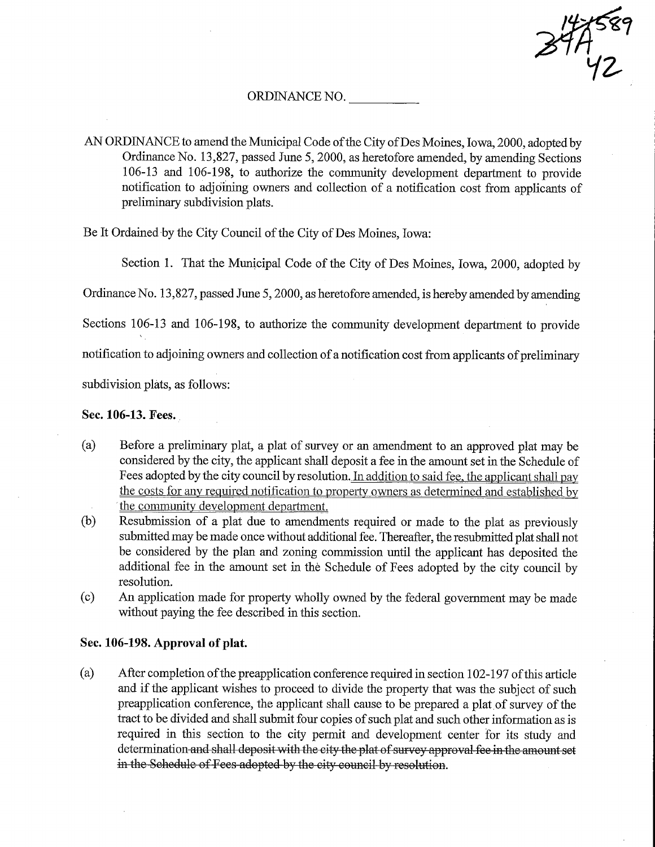47589  $'$ 42

## ORDINANCE NO.

AN ORDINANCE to amend the Municipal Code of the City of Des Moines, Iowa, 2000, adopted by Ordinance No. 13,827, passed June 5, 2000, as heretofore amended, by amending Sections 106-13 and 106-198, to authorize fhe community development department to provide notification to adjoining owners and collection of a notification cost from applicants of preliminary subdivision plats.

Be It Ordained by the City Council of the City of Des Moines, Iowa:

Section 1. That the Municipal Code of the City of Des Moines, Iowa, 2000, adopted by

Ordinance No. 13,827, passed June 5,2000, as heretofore amended, is hereby amended by amending

Sections 106-13 and 106-198, to authorize the community development department to provide

notification to adjoining owners and collection of a notification cost from applicants of preliminary

subdivision plats, as follows:

## Sec. 106-13. Fees.

- (a) Before a preliminary plat, a plat of survey or an amendment to an approved plat may be considered by the city, the applicant shall deposit a fee in the amount set in the Schedule of Fees adopted by the city council by resolution. In addition to said fee, the applicant shall pay the costs for any required notification to pronertv owners as determined and established by the community development department.
- (b) Resubmission of a plat due to amendments required or made to the plat as previously submitted may be made once without additional fee. Thereafter, the resubmitted plat shall not be considered by the plan and zoning commission until the applicant has deposited the additional fee in the amount set in the Schedule of Fees adopted by the city council by resolution.
- (c) An application made for property wholly owned by the federal government may be made without paying the fee described in this section.

## Sec. 106-198. Approval of plat.

(a) After completion of the preapplication conference required in section  $102-197$  of this article and if the applicant wishes to proceed to divide the property that was the subject of such preapplication conference, the applicant shall cause to be prepared a plat of survey of the tract to be divided and shall submit four copies of such plat and such other information as is required in this section to the city permit and development center for its study and determination and shall deposit with the city the plat of survey approval fee in the amount set in the Schedule of Fees adopted by the city council by resolution.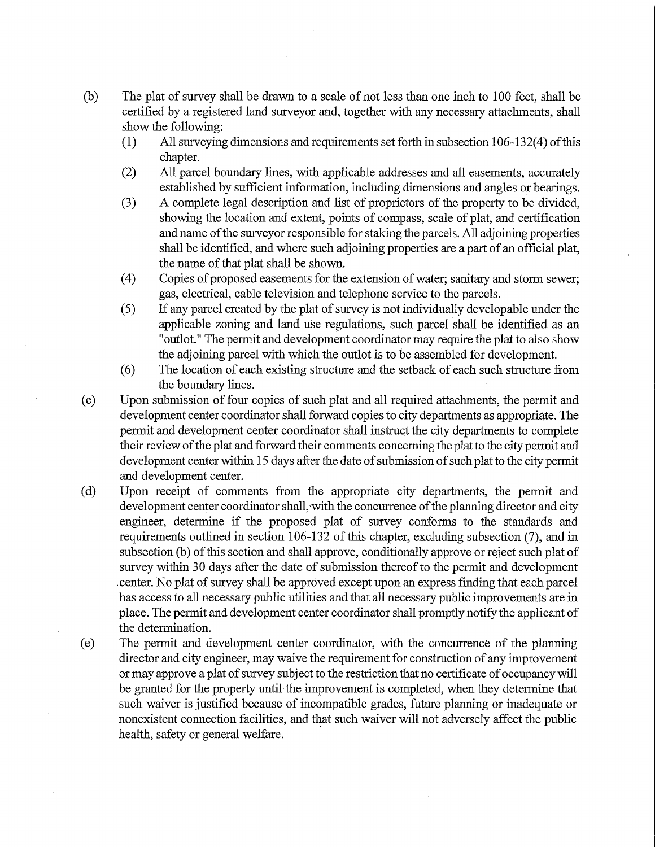- (b) The plat of survey shall be drawn to a scale of not less than one inch to 100 feet, shall be certified by a registered land surveyor and, together with any necessary attachments, shall show the following:
	- (1) All surveying dimensions and requirements set forth in subsection 106-132(4) of this chapter.
	- (2) All parcel boundary lines, with applicable addresses and all easements, accurately established by sufficient information, including dimensions and angles or bearings.
	- (3) A complete legal description and list of proprietors of the property to be divided, showing the location and extent, points of compass, scale of plat, and certification and name of the surveyor responsible for staking the parcels. All adjoining properties shall be identified, and where such adjoining properties are a part of an official plat, the name of that plat shall be shown.
	- (4) Copies of proposed easements for the extension of water; sanitary and storm sewer; gas, electrical, cable television and telephone service to the parcels.
	- (5) If any parcel created by the plat of survey is not individually developable under the applicable zoning and land use regulations, such parcel shall be identified as an "outlot." The permit and development coordinator may require the plat to also show the adjoining parcel with which the outlot is to be assembled for development.
	- (6) The location of each existing stmcture and the setback of each such structure from the boundary Imes.
- (c) Upon submission of four copies of such plat and all required attachments, the permit and development center coordinator shall forward copies to city departments as appropriate. The permit and development center coordinator shall instruct the city departments to complete their review of the plat and forward their comments concerning the plat to the city permit and development center within 15 days after the date of submission of such plat to the city permit and development center.
- (d) Upon receipt of comments from the appropriate city departments, the pennit and development center coordinator shall, with the concurrence of the planning director and city engineer, determine if the proposed plat of survey conforms to the standards and requirements outlined in section 106-132 of this chapter, excluding subsection (7), and in subsection (b) of this section and shall approve, conditionally approve or reject such plat of survey within 30 days after the date of submission thereof to the permit and development center. No plat of survey shall be approved except upon an express findmg that each parcel has access to all necessary public utilities and that all necessary public improvements are in place. The permit and development center coordinator shall promptly notify the applicant of the determination.
- (e) The permit and development center coordinator, with the concurrence of the plaruning director and city engineer, may waive the requirement for construction of any improvement or may approve a plat of survey subject to the restriction that no certificate of occupancy will be granted for the property until the improvement is completed, when they determine that such waiver is justified because of incompatible grades, future planning or inadequate or nonexistent connection facilities, and that such waiver will not adversely affect the public health, safety or general welfare.